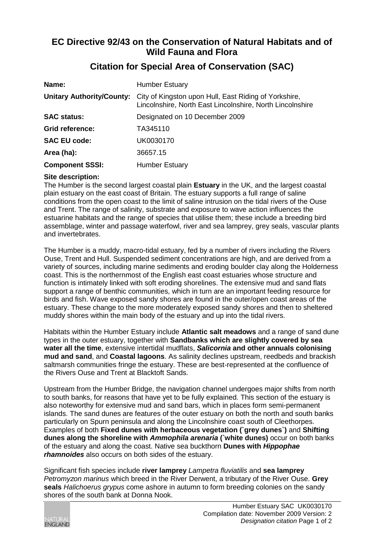## **EC Directive 92/43 on the Conservation of Natural Habitats and of Wild Fauna and Flora**

| Name:                            | <b>Humber Estuary</b>                                                                                              |
|----------------------------------|--------------------------------------------------------------------------------------------------------------------|
| <b>Unitary Authority/County:</b> | City of Kingston upon Hull, East Riding of Yorkshire,<br>Lincolnshire, North East Lincolnshire, North Lincolnshire |
| <b>SAC status:</b>               | Designated on 10 December 2009                                                                                     |
| Grid reference:                  | TA345110                                                                                                           |
| <b>SAC EU code:</b>              | UK0030170                                                                                                          |
| Area (ha):                       | 36657.15                                                                                                           |
| <b>Component SSSI:</b>           | <b>Humber Estuary</b>                                                                                              |

## **Citation for Special Area of Conservation (SAC)**

## **Site description:**

The Humber is the second largest coastal plain **Estuary** in the UK, and the largest coastal plain estuary on the east coast of Britain. The estuary supports a full range of saline conditions from the open coast to the limit of saline intrusion on the tidal rivers of the Ouse and Trent. The range of salinity, substrate and exposure to wave action influences the estuarine habitats and the range of species that utilise them; these include a breeding bird assemblage, winter and passage waterfowl, river and sea lamprey, grey seals, vascular plants and invertebrates.

The Humber is a muddy, macro-tidal estuary, fed by a number of rivers including the Rivers Ouse, Trent and Hull. Suspended sediment concentrations are high, and are derived from a variety of sources, including marine sediments and eroding boulder clay along the Holderness coast. This is the northernmost of the English east coast estuaries whose structure and function is intimately linked with soft eroding shorelines. The extensive mud and sand flats support a range of benthic communities, which in turn are an important feeding resource for birds and fish. Wave exposed sandy shores are found in the outer/open coast areas of the estuary. These change to the more moderately exposed sandy shores and then to sheltered muddy shores within the main body of the estuary and up into the tidal rivers.

Habitats within the Humber Estuary include **Atlantic salt meadows** and a range of sand dune types in the outer estuary, together with **Sandbanks which are slightly covered by sea water all the time**, extensive intertidal mudflats, *Salicornia* **and other annuals colonising mud and sand**, and **Coastal lagoons**. As salinity declines upstream, reedbeds and brackish saltmarsh communities fringe the estuary. These are best-represented at the confluence of the Rivers Ouse and Trent at Blacktoft Sands.

Upstream from the Humber Bridge, the navigation channel undergoes major shifts from north to south banks, for reasons that have yet to be fully explained. This section of the estuary is also noteworthy for extensive mud and sand bars, which in places form semi-permanent islands. The sand dunes are features of the outer estuary on both the north and south banks particularly on Spurn peninsula and along the Lincolnshire coast south of Cleethorpes. Examples of both **Fixed dunes with herbaceous vegetation (`grey dunes`)** and **Shifting dunes along the shoreline with** *Ammophila arenaria* **(`white dunes)** occur on both banks of the estuary and along the coast. Native sea buckthorn **Dunes with** *Hippophae rhamnoides* also occurs on both sides of the estuary.

Significant fish species include **river lamprey** *Lampetra fluviatilis* and **sea lamprey** *Petromyzon marinus* which breed in the River Derwent, a tributary of the River Ouse. **Grey seals** *Halichoerus grypus* come ashore in autumn to form breeding colonies on the sandy shores of the south bank at Donna Nook.